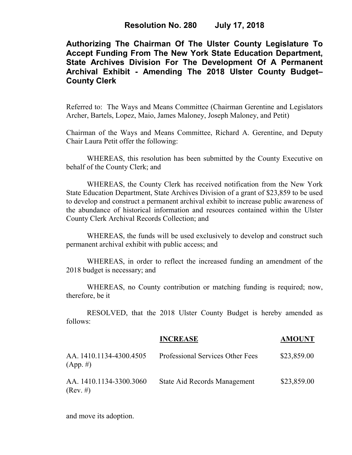# **Authorizing The Chairman Of The Ulster County Legislature To Accept Funding From The New York State Education Department, State Archives Division For The Development Of A Permanent Archival Exhibit - Amending The 2018 Ulster County Budget– County Clerk**

Referred to: The Ways and Means Committee (Chairman Gerentine and Legislators Archer, Bartels, Lopez, Maio, James Maloney, Joseph Maloney, and Petit)

Chairman of the Ways and Means Committee, Richard A. Gerentine, and Deputy Chair Laura Petit offer the following:

 WHEREAS, this resolution has been submitted by the County Executive on behalf of the County Clerk; and

 WHEREAS, the County Clerk has received notification from the New York State Education Department, State Archives Division of a grant of \$23,859 to be used to develop and construct a permanent archival exhibit to increase public awareness of the abundance of historical information and resources contained within the Ulster County Clerk Archival Records Collection; and

 WHEREAS, the funds will be used exclusively to develop and construct such permanent archival exhibit with public access; and

 WHEREAS, in order to reflect the increased funding an amendment of the 2018 budget is necessary; and

 WHEREAS, no County contribution or matching funding is required; now, therefore, be it

 RESOLVED, that the 2018 Ulster County Budget is hereby amended as follows:

|                                        | <b>INCREASE</b>                  | <b>AMOUNT</b> |
|----------------------------------------|----------------------------------|---------------|
| AA. 1410.1134-4300.4505<br>$(App. \#)$ | Professional Services Other Fees | \$23,859.00   |
| AA. 1410.1134-3300.3060<br>(Rev. #)    | State Aid Records Management     | \$23,859.00   |

and move its adoption.